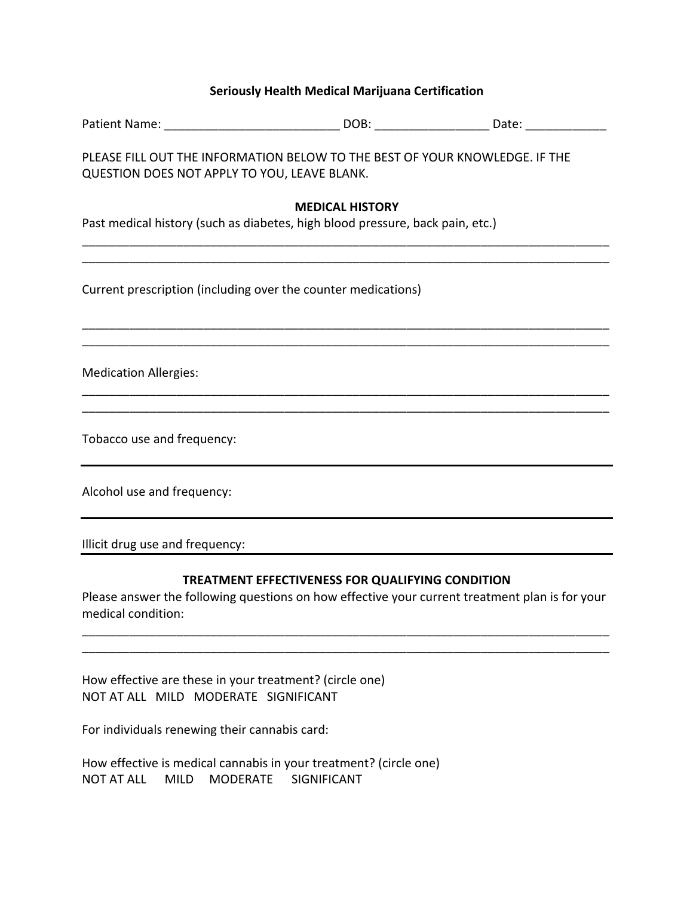## **Seriously Health Medical Marijuana Certification**

|                                                               | Patient Name: ___________________________________DOB: ________________________Date: ________________    |                                                                                                |
|---------------------------------------------------------------|---------------------------------------------------------------------------------------------------------|------------------------------------------------------------------------------------------------|
| QUESTION DOES NOT APPLY TO YOU, LEAVE BLANK.                  | PLEASE FILL OUT THE INFORMATION BELOW TO THE BEST OF YOUR KNOWLEDGE. IF THE                             |                                                                                                |
|                                                               | <b>MEDICAL HISTORY</b><br>Past medical history (such as diabetes, high blood pressure, back pain, etc.) |                                                                                                |
| Current prescription (including over the counter medications) |                                                                                                         |                                                                                                |
| <b>Medication Allergies:</b>                                  |                                                                                                         |                                                                                                |
| Tobacco use and frequency:                                    |                                                                                                         |                                                                                                |
| Alcohol use and frequency:                                    |                                                                                                         |                                                                                                |
| Illicit drug use and frequency:                               |                                                                                                         |                                                                                                |
| medical condition:                                            | TREATMENT EFFECTIVENESS FOR QUALIFYING CONDITION                                                        | Please answer the following questions on how effective your current treatment plan is for your |
|                                                               |                                                                                                         |                                                                                                |

How effective are these in your treatment? (circle one) NOT AT ALL MILD MODERATE SIGNIFICANT

For individuals renewing their cannabis card:

How effective is medical cannabis in your treatment? (circle one) NOT AT ALL MILD MODERATE SIGNIFICANT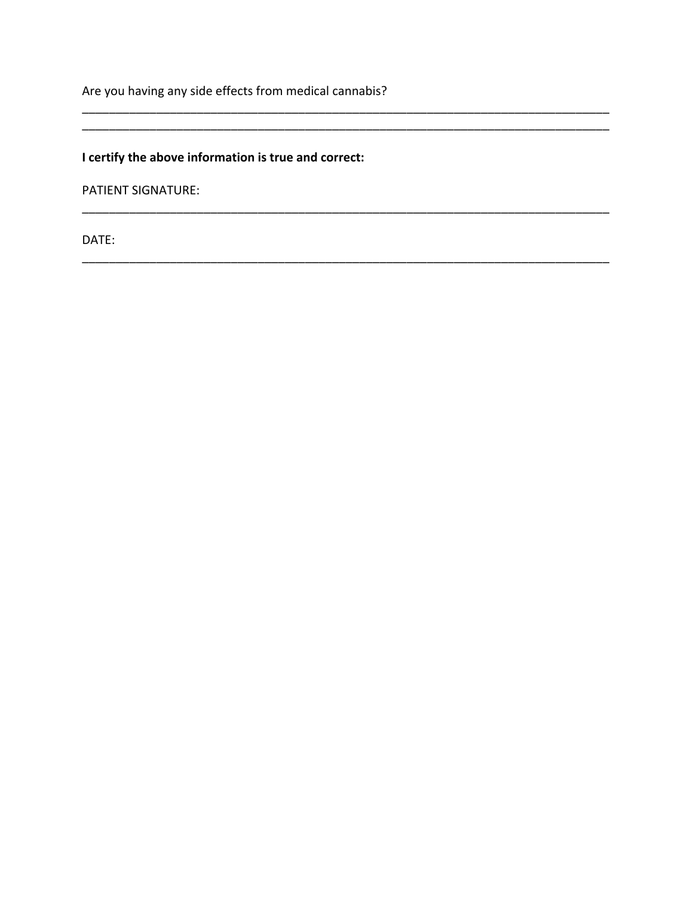Are you having any side effects from medical cannabis?

# I certify the above information is true and correct:

**PATIENT SIGNATURE:** 

DATE: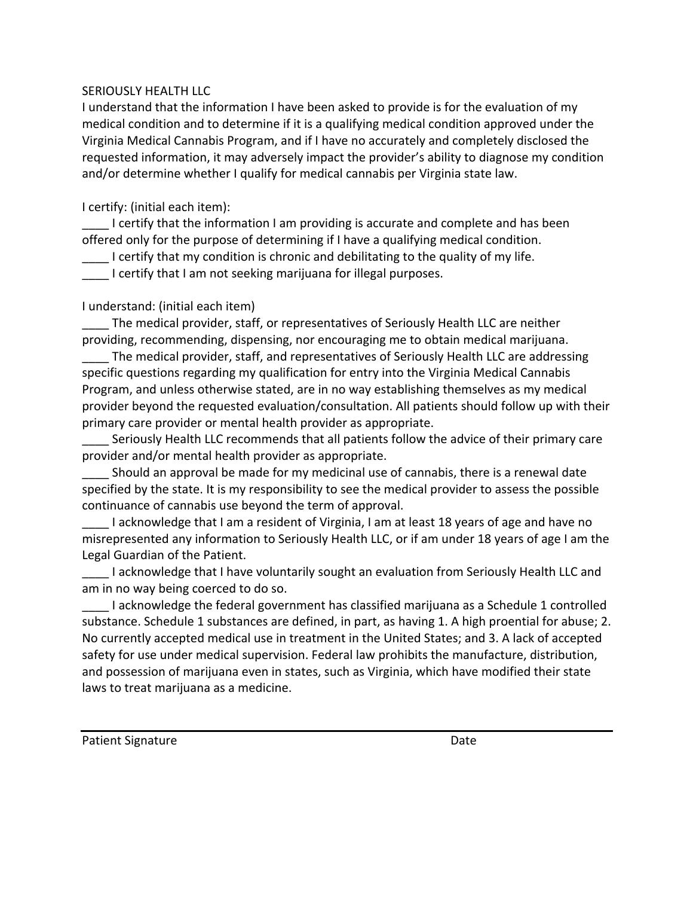## SERIOUSLY HEALTH LLC

I understand that the information I have been asked to provide is for the evaluation of my medical condition and to determine if it is a qualifying medical condition approved under the Virginia Medical Cannabis Program, and if I have no accurately and completely disclosed the requested information, it may adversely impact the provider's ability to diagnose my condition and/or determine whether I qualify for medical cannabis per Virginia state law.

I certify: (initial each item):

 $\blacksquare$  I certify that the information I am providing is accurate and complete and has been offered only for the purpose of determining if I have a qualifying medical condition.

 $\Box$  I certify that my condition is chronic and debilitating to the quality of my life.

**\_\_\_\_** I certify that I am not seeking marijuana for illegal purposes.

## I understand: (initial each item)

\_\_\_\_ The medical provider, staff, or representatives of Seriously Health LLC are neither providing, recommending, dispensing, nor encouraging me to obtain medical marijuana.

The medical provider, staff, and representatives of Seriously Health LLC are addressing specific questions regarding my qualification for entry into the Virginia Medical Cannabis Program, and unless otherwise stated, are in no way establishing themselves as my medical provider beyond the requested evaluation/consultation. All patients should follow up with their primary care provider or mental health provider as appropriate.

Seriously Health LLC recommends that all patients follow the advice of their primary care provider and/or mental health provider as appropriate.

Should an approval be made for my medicinal use of cannabis, there is a renewal date specified by the state. It is my responsibility to see the medical provider to assess the possible continuance of cannabis use beyond the term of approval.

I acknowledge that I am a resident of Virginia, I am at least 18 years of age and have no misrepresented any information to Seriously Health LLC, or if am under 18 years of age I am the Legal Guardian of the Patient.

I acknowledge that I have voluntarily sought an evaluation from Seriously Health LLC and am in no way being coerced to do so.

I acknowledge the federal government has classified marijuana as a Schedule 1 controlled substance. Schedule 1 substances are defined, in part, as having 1. A high proential for abuse; 2. No currently accepted medical use in treatment in the United States; and 3. A lack of accepted safety for use under medical supervision. Federal law prohibits the manufacture, distribution, and possession of marijuana even in states, such as Virginia, which have modified their state laws to treat marijuana as a medicine.

Patient Signature and the state of the state of the state of the state of the state of the state of the state of the state of the state of the state of the state of the state of the state of the state of the state of the s